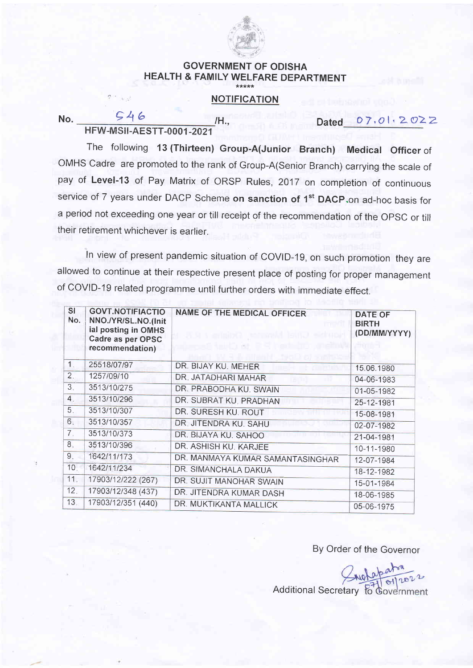

## GOVERNMENT OF ODISHA HEALTH & FAMILY WELFARE DEPARTMENT

## **NOTIFICATION**

No.  $\frac{546}{1}$ /H., Dated 07.01.2022 **HFW-MSII-AESTT-0001-2021** 

The following 13 (Thirteen) Group-A(Junior Branch) Medical Officer of OMHS Cadre are promoted to the rank of Group-A(Senior Branch) carrying the scale of pay of Level-13 of Pay Matrix of ORSP Rules, 2017 on completion of continuous service of 7 years under DACP Scheme on sanction of 1<sup>st</sup> DACP.on ad-hoc basis for <sup>a</sup>period not exceeding one year or till receipt of the recommendation of the OpSC or till their retirement whichever is earlier.

In view of present pandemic situation of COVID-19, on such promotion they are allowed to continue at their respective present place of posting for proper management of COVID-19 related programme until further orders with immediate effect.

| SI<br>No.        | <b>GOVT.NOTIFIACTIO</b><br>NNO./YR/SL.NO.(Init<br>ial posting in OMHS<br>Cadre as per OPSC<br>recommendation) | <b>NAME OF THE MEDICAL OFFICER</b><br><b>Senson Senson Isula</b><br>talio at RR ha | <b>DATE OF</b><br><b>BIRTH</b><br>(DD/MM/YYYY) |
|------------------|---------------------------------------------------------------------------------------------------------------|------------------------------------------------------------------------------------|------------------------------------------------|
| 1                | 25518/07/97                                                                                                   | DR. BIJAY KU. MEHER                                                                | 15.06.1980                                     |
| 2.               | 1257/09/10                                                                                                    | DR. JATADHARI MAHAR                                                                | 04-06-1983                                     |
| 3.               | 3513/10/275                                                                                                   | DR. PRABODHA KU. SWAIN                                                             | 01-05-1982                                     |
| $\overline{4}$ . | 3513/10/296                                                                                                   | DR. SUBRAT KU, PRADHAN                                                             | 25-12-1981                                     |
| 5.               | 3513/10/307                                                                                                   | DR. SURESH KU. ROUT                                                                | 15-08-1981                                     |
| 6.               | 3513/10/357                                                                                                   | DR. JITENDRA KU. SAHU                                                              | 02-07-1982                                     |
| 7 <sup>1</sup>   | 3513/10/373                                                                                                   | DR. BIJAYA KU. SAHOO                                                               | 21-04-1981                                     |
| 8 <sup>1</sup>   | 3513/10/396                                                                                                   | DR. ASHISH KU. KARJEE                                                              | 10-11-1980                                     |
| 9.               | 1642/11/173                                                                                                   | DR. MANMAYA KUMAR SAMANTASINGHAR                                                   | 12-07-1984                                     |
| 10.              | 1642/11/234                                                                                                   | DR. SIMANCHALA DAKUA                                                               | 18-12-1982                                     |
| 11.              | 17903/12/222 (267)                                                                                            | DR. SUJIT MANOHAR SWAIN                                                            | 15-01-1984                                     |
| 12.              | 17903/12/348 (437)                                                                                            | DR. JITENDRA KUMAR DASH                                                            | 18-06-1985                                     |
| 13.              | 17903/12/351 (440)                                                                                            | DR. MUKTIKANTA MALLICK                                                             | 05-06-1975                                     |

By Order of the Governor

Additional Secretary to Government